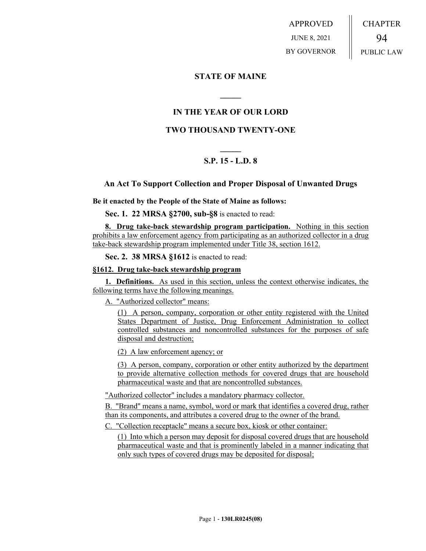APPROVED JUNE 8, 2021 BY GOVERNOR CHAPTER 94 PUBLIC LAW

## **STATE OF MAINE**

# **IN THE YEAR OF OUR LORD**

**\_\_\_\_\_**

## **TWO THOUSAND TWENTY-ONE**

# **\_\_\_\_\_ S.P. 15 - L.D. 8**

### **An Act To Support Collection and Proper Disposal of Unwanted Drugs**

**Be it enacted by the People of the State of Maine as follows:**

**Sec. 1. 22 MRSA §2700, sub-§8** is enacted to read:

**8. Drug take-back stewardship program participation.** Nothing in this section prohibits a law enforcement agency from participating as an authorized collector in a drug take-back stewardship program implemented under Title 38, section 1612.

**Sec. 2. 38 MRSA §1612** is enacted to read:

#### **§1612. Drug take-back stewardship program**

**1. Definitions.** As used in this section, unless the context otherwise indicates, the following terms have the following meanings.

A. "Authorized collector" means:

(1) A person, company, corporation or other entity registered with the United States Department of Justice, Drug Enforcement Administration to collect controlled substances and noncontrolled substances for the purposes of safe disposal and destruction;

(2) A law enforcement agency; or

(3) A person, company, corporation or other entity authorized by the department to provide alternative collection methods for covered drugs that are household pharmaceutical waste and that are noncontrolled substances.

"Authorized collector" includes a mandatory pharmacy collector.

B. "Brand" means a name, symbol, word or mark that identifies a covered drug, rather than its components, and attributes a covered drug to the owner of the brand.

C. "Collection receptacle" means a secure box, kiosk or other container:

(1) Into which a person may deposit for disposal covered drugs that are household pharmaceutical waste and that is prominently labeled in a manner indicating that only such types of covered drugs may be deposited for disposal;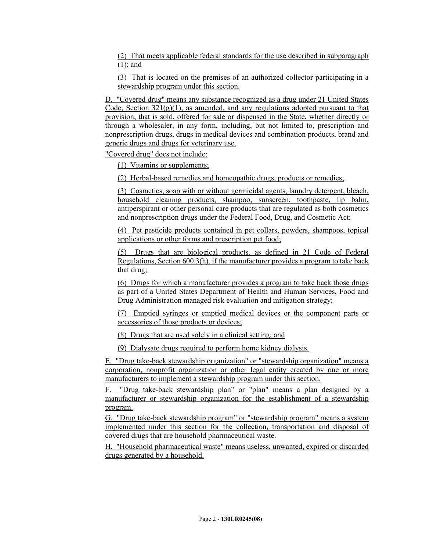(2) That meets applicable federal standards for the use described in subparagraph (1); and

(3) That is located on the premises of an authorized collector participating in a stewardship program under this section.

D. "Covered drug" means any substance recognized as a drug under 21 United States Code, Section  $321(g)(1)$ , as amended, and any regulations adopted pursuant to that provision, that is sold, offered for sale or dispensed in the State, whether directly or through a wholesaler, in any form, including, but not limited to, prescription and nonprescription drugs, drugs in medical devices and combination products, brand and generic drugs and drugs for veterinary use.

"Covered drug" does not include:

(1) Vitamins or supplements;

(2) Herbal-based remedies and homeopathic drugs, products or remedies;

(3) Cosmetics, soap with or without germicidal agents, laundry detergent, bleach, household cleaning products, shampoo, sunscreen, toothpaste, lip balm, antiperspirant or other personal care products that are regulated as both cosmetics and nonprescription drugs under the Federal Food, Drug, and Cosmetic Act;

(4) Pet pesticide products contained in pet collars, powders, shampoos, topical applications or other forms and prescription pet food;

(5) Drugs that are biological products, as defined in 21 Code of Federal Regulations, Section 600.3(h), if the manufacturer provides a program to take back that drug;

(6) Drugs for which a manufacturer provides a program to take back those drugs as part of a United States Department of Health and Human Services, Food and Drug Administration managed risk evaluation and mitigation strategy;

(7) Emptied syringes or emptied medical devices or the component parts or accessories of those products or devices;

(8) Drugs that are used solely in a clinical setting; and

(9) Dialysate drugs required to perform home kidney dialysis.

E. "Drug take-back stewardship organization" or "stewardship organization" means a corporation, nonprofit organization or other legal entity created by one or more manufacturers to implement a stewardship program under this section.

F. "Drug take-back stewardship plan" or "plan" means a plan designed by a manufacturer or stewardship organization for the establishment of a stewardship program.

G. "Drug take-back stewardship program" or "stewardship program" means a system implemented under this section for the collection, transportation and disposal of covered drugs that are household pharmaceutical waste.

H. "Household pharmaceutical waste" means useless, unwanted, expired or discarded drugs generated by a household.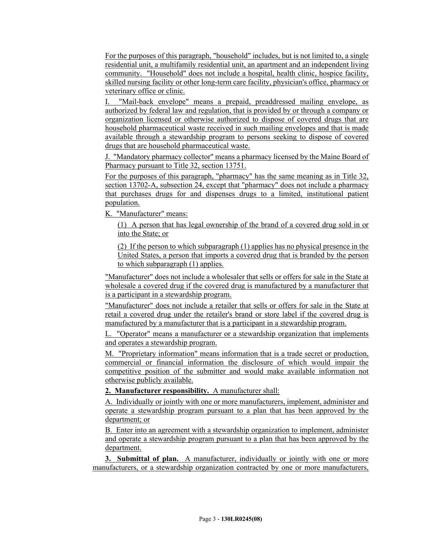For the purposes of this paragraph, "household" includes, but is not limited to, a single residential unit, a multifamily residential unit, an apartment and an independent living community. "Household" does not include a hospital, health clinic, hospice facility, skilled nursing facility or other long-term care facility, physician's office, pharmacy or veterinary office or clinic.

I. "Mail-back envelope" means a prepaid, preaddressed mailing envelope, as authorized by federal law and regulation, that is provided by or through a company or organization licensed or otherwise authorized to dispose of covered drugs that are household pharmaceutical waste received in such mailing envelopes and that is made available through a stewardship program to persons seeking to dispose of covered drugs that are household pharmaceutical waste.

J. "Mandatory pharmacy collector" means a pharmacy licensed by the Maine Board of Pharmacy pursuant to Title 32, section 13751.

For the purposes of this paragraph, "pharmacy" has the same meaning as in Title 32, section 13702-A, subsection 24, except that "pharmacy" does not include a pharmacy that purchases drugs for and dispenses drugs to a limited, institutional patient population.

K. "Manufacturer" means:

(1) A person that has legal ownership of the brand of a covered drug sold in or into the State; or

(2) If the person to which subparagraph (1) applies has no physical presence in the United States, a person that imports a covered drug that is branded by the person to which subparagraph (1) applies.

"Manufacturer" does not include a wholesaler that sells or offers for sale in the State at wholesale a covered drug if the covered drug is manufactured by a manufacturer that is a participant in a stewardship program.

"Manufacturer" does not include a retailer that sells or offers for sale in the State at retail a covered drug under the retailer's brand or store label if the covered drug is manufactured by a manufacturer that is a participant in a stewardship program.

L. "Operator" means a manufacturer or a stewardship organization that implements and operates a stewardship program.

M. "Proprietary information" means information that is a trade secret or production, commercial or financial information the disclosure of which would impair the competitive position of the submitter and would make available information not otherwise publicly available.

**2. Manufacturer responsibility.** A manufacturer shall:

A. Individually or jointly with one or more manufacturers, implement, administer and operate a stewardship program pursuant to a plan that has been approved by the department; or

B. Enter into an agreement with a stewardship organization to implement, administer and operate a stewardship program pursuant to a plan that has been approved by the department.

**3. Submittal of plan.** A manufacturer, individually or jointly with one or more manufacturers, or a stewardship organization contracted by one or more manufacturers,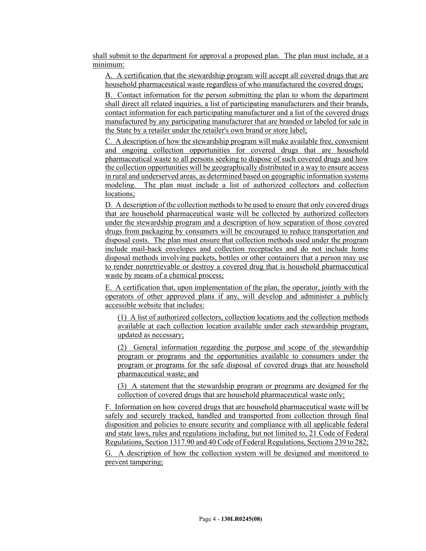shall submit to the department for approval a proposed plan. The plan must include, at a minimum:

A. A certification that the stewardship program will accept all covered drugs that are household pharmaceutical waste regardless of who manufactured the covered drugs;

B. Contact information for the person submitting the plan to whom the department shall direct all related inquiries, a list of participating manufacturers and their brands, contact information for each participating manufacturer and a list of the covered drugs manufactured by any participating manufacturer that are branded or labeled for sale in the State by a retailer under the retailer's own brand or store label;

C. A description of how the stewardship program will make available free, convenient and ongoing collection opportunities for covered drugs that are household pharmaceutical waste to all persons seeking to dispose of such covered drugs and how the collection opportunities will be geographically distributed in a way to ensure access in rural and underserved areas, as determined based on geographic information systems modeling. The plan must include a list of authorized collectors and collection locations;

D. A description of the collection methods to be used to ensure that only covered drugs that are household pharmaceutical waste will be collected by authorized collectors under the stewardship program and a description of how separation of those covered drugs from packaging by consumers will be encouraged to reduce transportation and disposal costs. The plan must ensure that collection methods used under the program include mail-back envelopes and collection receptacles and do not include home disposal methods involving packets, bottles or other containers that a person may use to render nonretrievable or destroy a covered drug that is household pharmaceutical waste by means of a chemical process;

E. A certification that, upon implementation of the plan, the operator, jointly with the operators of other approved plans if any, will develop and administer a publicly accessible website that includes:

(1) A list of authorized collectors, collection locations and the collection methods available at each collection location available under each stewardship program, updated as necessary;

(2) General information regarding the purpose and scope of the stewardship program or programs and the opportunities available to consumers under the program or programs for the safe disposal of covered drugs that are household pharmaceutical waste; and

(3) A statement that the stewardship program or programs are designed for the collection of covered drugs that are household pharmaceutical waste only;

F. Information on how covered drugs that are household pharmaceutical waste will be safely and securely tracked, handled and transported from collection through final disposition and policies to ensure security and compliance with all applicable federal and state laws, rules and regulations including, but not limited to, 21 Code of Federal Regulations, Section 1317.90 and 40 Code of Federal Regulations, Sections 239 to 282;

G. A description of how the collection system will be designed and monitored to prevent tampering;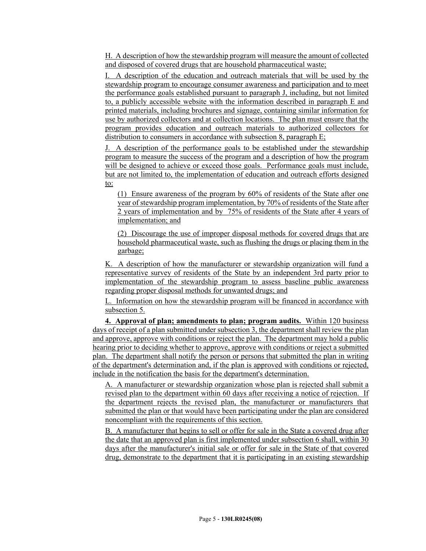H. A description of how the stewardship program will measure the amount of collected and disposed of covered drugs that are household pharmaceutical waste;

I. A description of the education and outreach materials that will be used by the stewardship program to encourage consumer awareness and participation and to meet the performance goals established pursuant to paragraph J, including, but not limited to, a publicly accessible website with the information described in paragraph E and printed materials, including brochures and signage, containing similar information for use by authorized collectors and at collection locations. The plan must ensure that the program provides education and outreach materials to authorized collectors for distribution to consumers in accordance with subsection 8, paragraph E;

J. A description of the performance goals to be established under the stewardship program to measure the success of the program and a description of how the program will be designed to achieve or exceed those goals. Performance goals must include, but are not limited to, the implementation of education and outreach efforts designed to:

(1) Ensure awareness of the program by 60% of residents of the State after one year of stewardship program implementation, by 70% of residents of the State after 2 years of implementation and by 75% of residents of the State after 4 years of implementation; and

(2) Discourage the use of improper disposal methods for covered drugs that are household pharmaceutical waste, such as flushing the drugs or placing them in the garbage;

K. A description of how the manufacturer or stewardship organization will fund a representative survey of residents of the State by an independent 3rd party prior to implementation of the stewardship program to assess baseline public awareness regarding proper disposal methods for unwanted drugs; and

L. Information on how the stewardship program will be financed in accordance with subsection 5.

**4. Approval of plan; amendments to plan; program audits.** Within 120 business days of receipt of a plan submitted under subsection 3, the department shall review the plan and approve, approve with conditions or reject the plan. The department may hold a public hearing prior to deciding whether to approve, approve with conditions or reject a submitted plan. The department shall notify the person or persons that submitted the plan in writing of the department's determination and, if the plan is approved with conditions or rejected, include in the notification the basis for the department's determination.

A. A manufacturer or stewardship organization whose plan is rejected shall submit a revised plan to the department within 60 days after receiving a notice of rejection. If the department rejects the revised plan, the manufacturer or manufacturers that submitted the plan or that would have been participating under the plan are considered noncompliant with the requirements of this section.

B. A manufacturer that begins to sell or offer for sale in the State a covered drug after the date that an approved plan is first implemented under subsection 6 shall, within 30 days after the manufacturer's initial sale or offer for sale in the State of that covered drug, demonstrate to the department that it is participating in an existing stewardship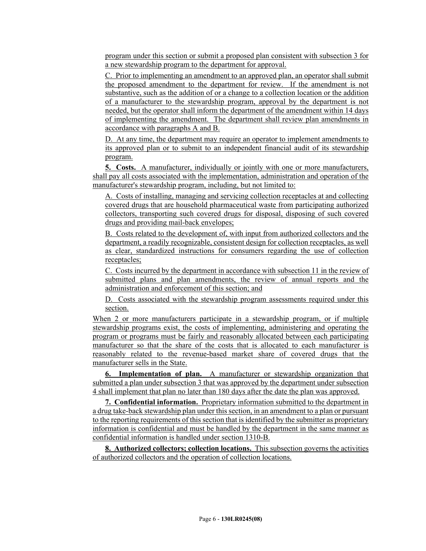program under this section or submit a proposed plan consistent with subsection 3 for a new stewardship program to the department for approval.

C. Prior to implementing an amendment to an approved plan, an operator shall submit the proposed amendment to the department for review. If the amendment is not substantive, such as the addition of or a change to a collection location or the addition of a manufacturer to the stewardship program, approval by the department is not needed, but the operator shall inform the department of the amendment within 14 days of implementing the amendment. The department shall review plan amendments in accordance with paragraphs A and B.

D. At any time, the department may require an operator to implement amendments to its approved plan or to submit to an independent financial audit of its stewardship program.

**5. Costs.** A manufacturer, individually or jointly with one or more manufacturers, shall pay all costs associated with the implementation, administration and operation of the manufacturer's stewardship program, including, but not limited to:

A. Costs of installing, managing and servicing collection receptacles at and collecting covered drugs that are household pharmaceutical waste from participating authorized collectors, transporting such covered drugs for disposal, disposing of such covered drugs and providing mail-back envelopes;

B. Costs related to the development of, with input from authorized collectors and the department, a readily recognizable, consistent design for collection receptacles, as well as clear, standardized instructions for consumers regarding the use of collection receptacles;

C. Costs incurred by the department in accordance with subsection 11 in the review of submitted plans and plan amendments, the review of annual reports and the administration and enforcement of this section; and

D. Costs associated with the stewardship program assessments required under this section.

When 2 or more manufacturers participate in a stewardship program, or if multiple stewardship programs exist, the costs of implementing, administering and operating the program or programs must be fairly and reasonably allocated between each participating manufacturer so that the share of the costs that is allocated to each manufacturer is reasonably related to the revenue-based market share of covered drugs that the manufacturer sells in the State.

**6. Implementation of plan.** A manufacturer or stewardship organization that submitted a plan under subsection 3 that was approved by the department under subsection 4 shall implement that plan no later than 180 days after the date the plan was approved.

**7. Confidential information.** Proprietary information submitted to the department in a drug take-back stewardship plan under this section, in an amendment to a plan or pursuant to the reporting requirements of this section that is identified by the submitter as proprietary information is confidential and must be handled by the department in the same manner as confidential information is handled under section 1310-B.

**8. Authorized collectors; collection locations.** This subsection governs the activities of authorized collectors and the operation of collection locations.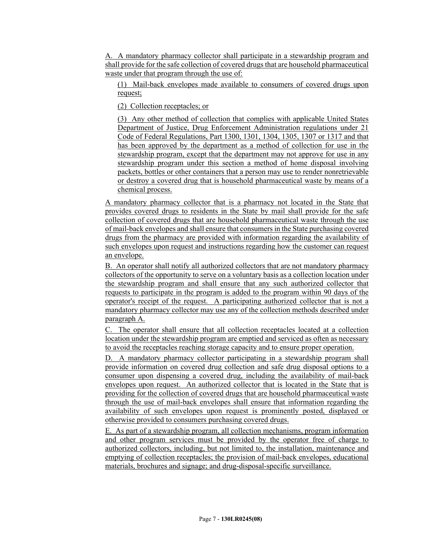A. A mandatory pharmacy collector shall participate in a stewardship program and shall provide for the safe collection of covered drugs that are household pharmaceutical waste under that program through the use of:

(1) Mail-back envelopes made available to consumers of covered drugs upon request;

(2) Collection receptacles; or

(3) Any other method of collection that complies with applicable United States Department of Justice, Drug Enforcement Administration regulations under 21 Code of Federal Regulations, Part 1300, 1301, 1304, 1305, 1307 or 1317 and that has been approved by the department as a method of collection for use in the stewardship program, except that the department may not approve for use in any stewardship program under this section a method of home disposal involving packets, bottles or other containers that a person may use to render nonretrievable or destroy a covered drug that is household pharmaceutical waste by means of a chemical process.

A mandatory pharmacy collector that is a pharmacy not located in the State that provides covered drugs to residents in the State by mail shall provide for the safe collection of covered drugs that are household pharmaceutical waste through the use of mail-back envelopes and shall ensure that consumers in the State purchasing covered drugs from the pharmacy are provided with information regarding the availability of such envelopes upon request and instructions regarding how the customer can request an envelope.

B. An operator shall notify all authorized collectors that are not mandatory pharmacy collectors of the opportunity to serve on a voluntary basis as a collection location under the stewardship program and shall ensure that any such authorized collector that requests to participate in the program is added to the program within 90 days of the operator's receipt of the request. A participating authorized collector that is not a mandatory pharmacy collector may use any of the collection methods described under paragraph A.

C. The operator shall ensure that all collection receptacles located at a collection location under the stewardship program are emptied and serviced as often as necessary to avoid the receptacles reaching storage capacity and to ensure proper operation.

D. A mandatory pharmacy collector participating in a stewardship program shall provide information on covered drug collection and safe drug disposal options to a consumer upon dispensing a covered drug, including the availability of mail-back envelopes upon request. An authorized collector that is located in the State that is providing for the collection of covered drugs that are household pharmaceutical waste through the use of mail-back envelopes shall ensure that information regarding the availability of such envelopes upon request is prominently posted, displayed or otherwise provided to consumers purchasing covered drugs.

E. As part of a stewardship program, all collection mechanisms, program information and other program services must be provided by the operator free of charge to authorized collectors, including, but not limited to, the installation, maintenance and emptying of collection receptacles; the provision of mail-back envelopes, educational materials, brochures and signage; and drug-disposal-specific surveillance.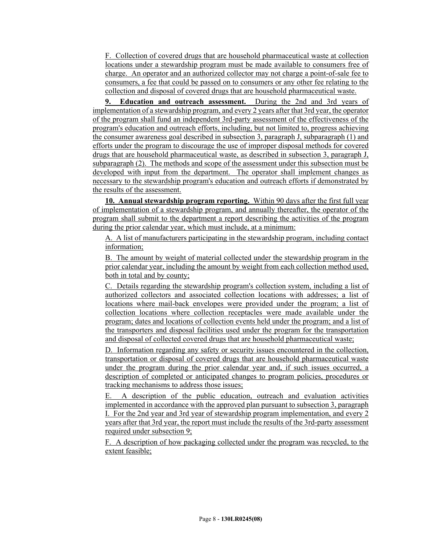F. Collection of covered drugs that are household pharmaceutical waste at collection locations under a stewardship program must be made available to consumers free of charge. An operator and an authorized collector may not charge a point-of-sale fee to consumers, a fee that could be passed on to consumers or any other fee relating to the collection and disposal of covered drugs that are household pharmaceutical waste.

**9. Education and outreach assessment.** During the 2nd and 3rd years of implementation of a stewardship program, and every 2 years after that 3rd year, the operator of the program shall fund an independent 3rd-party assessment of the effectiveness of the program's education and outreach efforts, including, but not limited to, progress achieving the consumer awareness goal described in subsection 3, paragraph J, subparagraph (1) and efforts under the program to discourage the use of improper disposal methods for covered drugs that are household pharmaceutical waste, as described in subsection 3, paragraph J, subparagraph (2). The methods and scope of the assessment under this subsection must be developed with input from the department. The operator shall implement changes as necessary to the stewardship program's education and outreach efforts if demonstrated by the results of the assessment.

**10. Annual stewardship program reporting.** Within 90 days after the first full year of implementation of a stewardship program, and annually thereafter, the operator of the program shall submit to the department a report describing the activities of the program during the prior calendar year, which must include, at a minimum:

A. A list of manufacturers participating in the stewardship program, including contact information;

B. The amount by weight of material collected under the stewardship program in the prior calendar year, including the amount by weight from each collection method used, both in total and by county;

C. Details regarding the stewardship program's collection system, including a list of authorized collectors and associated collection locations with addresses; a list of locations where mail-back envelopes were provided under the program; a list of collection locations where collection receptacles were made available under the program; dates and locations of collection events held under the program; and a list of the transporters and disposal facilities used under the program for the transportation and disposal of collected covered drugs that are household pharmaceutical waste;

D. Information regarding any safety or security issues encountered in the collection, transportation or disposal of covered drugs that are household pharmaceutical waste under the program during the prior calendar year and, if such issues occurred, a description of completed or anticipated changes to program policies, procedures or tracking mechanisms to address those issues;

E. A description of the public education, outreach and evaluation activities implemented in accordance with the approved plan pursuant to subsection 3, paragraph I. For the 2nd year and 3rd year of stewardship program implementation, and every 2 years after that 3rd year, the report must include the results of the 3rd-party assessment required under subsection 9;

F. A description of how packaging collected under the program was recycled, to the extent feasible;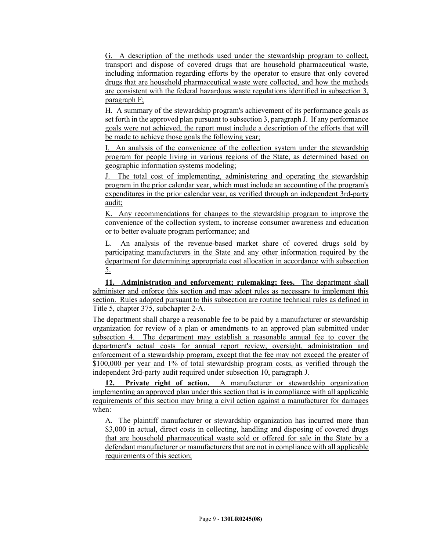G. A description of the methods used under the stewardship program to collect, transport and dispose of covered drugs that are household pharmaceutical waste, including information regarding efforts by the operator to ensure that only covered drugs that are household pharmaceutical waste were collected, and how the methods are consistent with the federal hazardous waste regulations identified in subsection 3, paragraph F;

H. A summary of the stewardship program's achievement of its performance goals as set forth in the approved plan pursuant to subsection 3, paragraph J. If any performance goals were not achieved, the report must include a description of the efforts that will be made to achieve those goals the following year;

I. An analysis of the convenience of the collection system under the stewardship program for people living in various regions of the State, as determined based on geographic information systems modeling;

J. The total cost of implementing, administering and operating the stewardship program in the prior calendar year, which must include an accounting of the program's expenditures in the prior calendar year, as verified through an independent 3rd-party audit;

K. Any recommendations for changes to the stewardship program to improve the convenience of the collection system, to increase consumer awareness and education or to better evaluate program performance; and

L. An analysis of the revenue-based market share of covered drugs sold by participating manufacturers in the State and any other information required by the department for determining appropriate cost allocation in accordance with subsection 5.

**11. Administration and enforcement; rulemaking; fees.** The department shall administer and enforce this section and may adopt rules as necessary to implement this section. Rules adopted pursuant to this subsection are routine technical rules as defined in Title 5, chapter 375, subchapter 2-A.

The department shall charge a reasonable fee to be paid by a manufacturer or stewardship organization for review of a plan or amendments to an approved plan submitted under subsection 4. The department may establish a reasonable annual fee to cover the department's actual costs for annual report review, oversight, administration and enforcement of a stewardship program, except that the fee may not exceed the greater of \$100,000 per year and 1% of total stewardship program costs, as verified through the independent 3rd-party audit required under subsection 10, paragraph J.

**12. Private right of action.** A manufacturer or stewardship organization implementing an approved plan under this section that is in compliance with all applicable requirements of this section may bring a civil action against a manufacturer for damages when:

A. The plaintiff manufacturer or stewardship organization has incurred more than \$3,000 in actual, direct costs in collecting, handling and disposing of covered drugs that are household pharmaceutical waste sold or offered for sale in the State by a defendant manufacturer or manufacturers that are not in compliance with all applicable requirements of this section;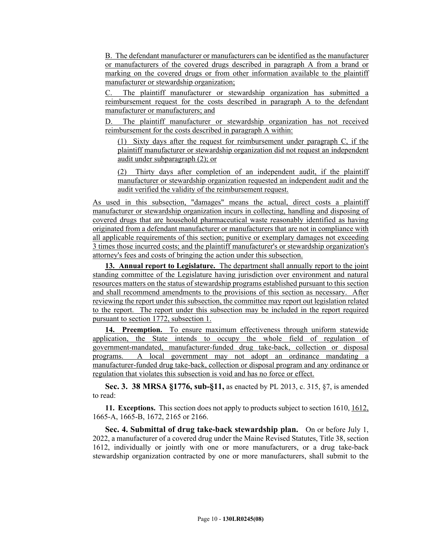B. The defendant manufacturer or manufacturers can be identified as the manufacturer or manufacturers of the covered drugs described in paragraph A from a brand or marking on the covered drugs or from other information available to the plaintiff manufacturer or stewardship organization;

C. The plaintiff manufacturer or stewardship organization has submitted a reimbursement request for the costs described in paragraph A to the defendant manufacturer or manufacturers; and

D. The plaintiff manufacturer or stewardship organization has not received reimbursement for the costs described in paragraph A within:

(1) Sixty days after the request for reimbursement under paragraph C, if the plaintiff manufacturer or stewardship organization did not request an independent audit under subparagraph (2); or

(2) Thirty days after completion of an independent audit, if the plaintiff manufacturer or stewardship organization requested an independent audit and the audit verified the validity of the reimbursement request.

As used in this subsection, "damages" means the actual, direct costs a plaintiff manufacturer or stewardship organization incurs in collecting, handling and disposing of covered drugs that are household pharmaceutical waste reasonably identified as having originated from a defendant manufacturer or manufacturers that are not in compliance with all applicable requirements of this section; punitive or exemplary damages not exceeding 3 times those incurred costs; and the plaintiff manufacturer's or stewardship organization's attorney's fees and costs of bringing the action under this subsection.

**13. Annual report to Legislature.** The department shall annually report to the joint standing committee of the Legislature having jurisdiction over environment and natural resources matters on the status of stewardship programs established pursuant to this section and shall recommend amendments to the provisions of this section as necessary. After reviewing the report under this subsection, the committee may report out legislation related to the report. The report under this subsection may be included in the report required pursuant to section 1772, subsection 1.

**14. Preemption.** To ensure maximum effectiveness through uniform statewide application, the State intends to occupy the whole field of regulation of government-mandated, manufacturer-funded drug take-back, collection or disposal programs. A local government may not adopt an ordinance mandating a manufacturer-funded drug take-back, collection or disposal program and any ordinance or regulation that violates this subsection is void and has no force or effect.

**Sec. 3. 38 MRSA §1776, sub-§11,** as enacted by PL 2013, c. 315, §7, is amended to read:

**11. Exceptions.** This section does not apply to products subject to section 1610, 1612, 1665-A, 1665-B, 1672, 2165 or 2166.

**Sec. 4. Submittal of drug take-back stewardship plan.** On or before July 1, 2022, a manufacturer of a covered drug under the Maine Revised Statutes, Title 38, section 1612, individually or jointly with one or more manufacturers, or a drug take-back stewardship organization contracted by one or more manufacturers, shall submit to the